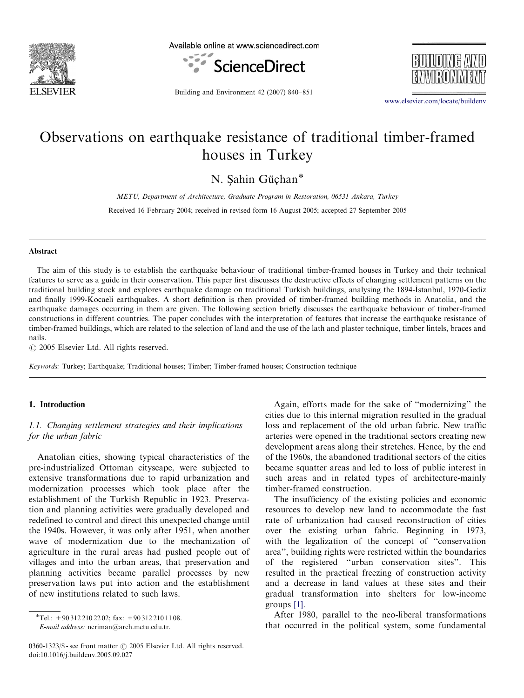

Available online at www.sciencedirect.com





Building and Environment 42 (2007) 840–851

<www.elsevier.com/locate/buildenv>

## Observations on earthquake resistance of traditional timber-framed houses in Turkey

N. Sahin Güçhan\*

METU, Department of Architecture, Graduate Program in Restoration, 06531 Ankara, Turkey

Received 16 February 2004; received in revised form 16 August 2005; accepted 27 September 2005

#### Abstract

The aim of this study is to establish the earthquake behaviour of traditional timber-framed houses in Turkey and their technical features to serve as a guide in their conservation. This paper first discusses the destructive effects of changing settlement patterns on the traditional building stock and explores earthquake damage on traditional Turkish buildings, analysing the 1894-Istanbul, 1970-Gediz and finally 1999-Kocaeli earthquakes. A short definition is then provided of timber-framed building methods in Anatolia, and the earthquake damages occurring in them are given. The following section briefly discusses the earthquake behaviour of timber-framed constructions in different countries. The paper concludes with the interpretation of features that increase the earthquake resistance of timber-framed buildings, which are related to the selection of land and the use of the lath and plaster technique, timber lintels, braces and nails.

 $\odot$  2005 Elsevier Ltd. All rights reserved.

Keywords: Turkey; Earthquake; Traditional houses; Timber; Timber-framed houses; Construction technique

#### 1. Introduction

### 1.1. Changing settlement strategies and their implications for the urban fabric

Anatolian cities, showing typical characteristics of the pre-industrialized Ottoman cityscape, were subjected to extensive transformations due to rapid urbanization and modernization processes which took place after the establishment of the Turkish Republic in 1923. Preservation and planning activities were gradually developed and redefined to control and direct this unexpected change until the 1940s. However, it was only after 1951, when another wave of modernization due to the mechanization of agriculture in the rural areas had pushed people out of villages and into the urban areas, that preservation and planning activities became parallel processes by new preservation laws put into action and the establishment of new institutions related to such laws.

E-mail address: neriman@arch.metu.edu.tr.

 $0360-1323/\$ S - see front matter  $\odot$  2005 Elsevier Ltd. All rights reserved. doi:10.1016/j.buildenv.2005.09.027

Again, efforts made for the sake of ''modernizing'' the cities due to this internal migration resulted in the gradual loss and replacement of the old urban fabric. New traffic arteries were opened in the traditional sectors creating new development areas along their stretches. Hence, by the end of the 1960s, the abandoned traditional sectors of the cities became squatter areas and led to loss of public interest in such areas and in related types of architecture-mainly timber-framed construction.

The insufficiency of the existing policies and economic resources to develop new land to accommodate the fast rate of urbanization had caused reconstruction of cities over the existing urban fabric. Beginning in 1973, with the legalization of the concept of ''conservation area'', building rights were restricted within the boundaries of the registered ''urban conservation sites''. This resulted in the practical freezing of construction activity and a decrease in land values at these sites and their gradual transformation into shelters for low-income groups [\[1\].](#page--1-0)

After 1980, parallel to the neo-liberal transformations that occurred in the political system, some fundamental

 $*$ Tel.: +90 312 210 22 02; fax: +90 312 210 11 08.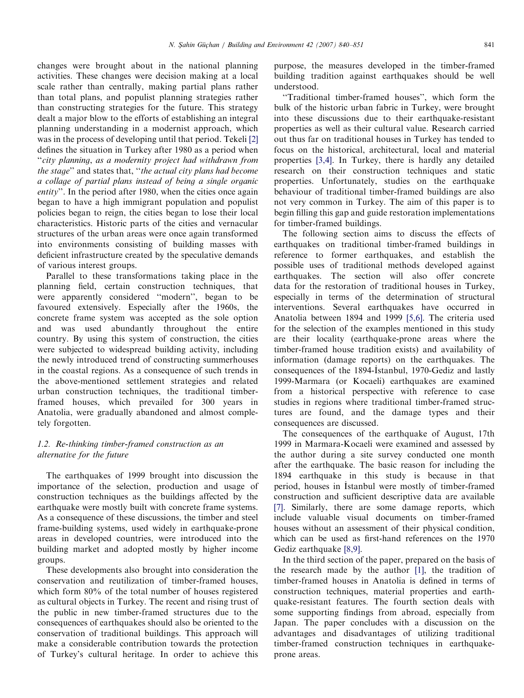changes were brought about in the national planning activities. These changes were decision making at a local scale rather than centrally, making partial plans rather than total plans, and populist planning strategies rather than constructing strategies for the future. This strategy dealt a major blow to the efforts of establishing an integral planning understanding in a modernist approach, which was in the process of developing until that period. Tekeli [\[2\]](#page--1-0) defines the situation in Turkey after 1980 as a period when ''city planning, as a modernity project had withdrawn from the stage'' and states that, ''the actual city plans had become a collage of partial plans instead of being a single organic entity". In the period after 1980, when the cities once again began to have a high immigrant population and populist policies began to reign, the cities began to lose their local characteristics. Historic parts of the cities and vernacular structures of the urban areas were once again transformed into environments consisting of building masses with deficient infrastructure created by the speculative demands of various interest groups.

Parallel to these transformations taking place in the planning field, certain construction techniques, that were apparently considered ''modern'', began to be favoured extensively. Especially after the 1960s, the concrete frame system was accepted as the sole option and was used abundantly throughout the entire country. By using this system of construction, the cities were subjected to widespread building activity, including the newly introduced trend of constructing summerhouses in the coastal regions. As a consequence of such trends in the above-mentioned settlement strategies and related urban construction techniques, the traditional timberframed houses, which prevailed for 300 years in Anatolia, were gradually abandoned and almost completely forgotten.

### 1.2. Re-thinking timber-framed construction as an alternative for the future

The earthquakes of 1999 brought into discussion the importance of the selection, production and usage of construction techniques as the buildings affected by the earthquake were mostly built with concrete frame systems. As a consequence of these discussions, the timber and steel frame-building systems, used widely in earthquake-prone areas in developed countries, were introduced into the building market and adopted mostly by higher income groups.

These developments also brought into consideration the conservation and reutilization of timber-framed houses, which form 80% of the total number of houses registered as cultural objects in Turkey. The recent and rising trust of the public in new timber-framed structures due to the consequences of earthquakes should also be oriented to the conservation of traditional buildings. This approach will make a considerable contribution towards the protection of Turkey's cultural heritage. In order to achieve this

purpose, the measures developed in the timber-framed building tradition against earthquakes should be well understood.

''Traditional timber-framed houses'', which form the bulk of the historic urban fabric in Turkey, were brought into these discussions due to their earthquake-resistant properties as well as their cultural value. Research carried out thus far on traditional houses in Turkey has tended to focus on the historical, architectural, local and material properties [\[3,4\]](#page--1-0). In Turkey, there is hardly any detailed research on their construction techniques and static properties. Unfortunately, studies on the earthquake behaviour of traditional timber-framed buildings are also not very common in Turkey. The aim of this paper is to begin filling this gap and guide restoration implementations for timber-framed buildings.

The following section aims to discuss the effects of earthquakes on traditional timber-framed buildings in reference to former earthquakes, and establish the possible uses of traditional methods developed against earthquakes. The section will also offer concrete data for the restoration of traditional houses in Turkey, especially in terms of the determination of structural interventions. Several earthquakes have occurred in Anatolia between 1894 and 1999 [\[5,6\]](#page--1-0). The criteria used for the selection of the examples mentioned in this study are their locality (earthquake-prone areas where the timber-framed house tradition exists) and availability of information (damage reports) on the earthquakes. The consequences of the 1894-Istanbul, 1970-Gediz and lastly 1999-Marmara (or Kocaeli) earthquakes are examined from a historical perspective with reference to case studies in regions where traditional timber-framed structures are found, and the damage types and their consequences are discussed.

The consequences of the earthquake of August, 17th 1999 in Marmara-Kocaeli were examined and assessed by the author during a site survey conducted one month after the earthquake. The basic reason for including the 1894 earthquake in this study is because in that period, houses in Istanbul were mostly of timber-framed construction and sufficient descriptive data are available [\[7\].](#page--1-0) Similarly, there are some damage reports, which include valuable visual documents on timber-framed houses without an assessment of their physical condition, which can be used as first-hand references on the 1970 Gediz earthquake [\[8,9\]](#page--1-0).

In the third section of the paper, prepared on the basis of the research made by the author [\[1\]](#page--1-0), the tradition of timber-framed houses in Anatolia is defined in terms of construction techniques, material properties and earthquake-resistant features. The fourth section deals with some supporting findings from abroad, especially from Japan. The paper concludes with a discussion on the advantages and disadvantages of utilizing traditional timber-framed construction techniques in earthquakeprone areas.